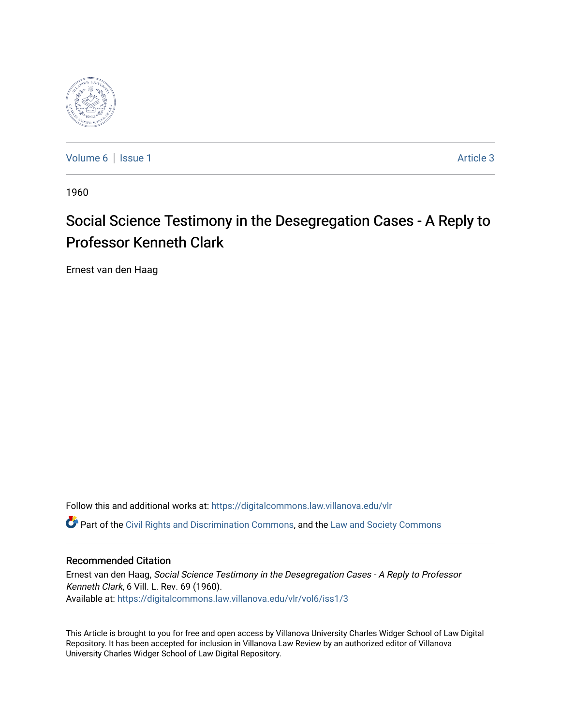

[Volume 6](https://digitalcommons.law.villanova.edu/vlr/vol6) | [Issue 1](https://digitalcommons.law.villanova.edu/vlr/vol6/iss1) Article 3

1960

# Social Science Testimony in the Desegregation Cases - A Reply to Professor Kenneth Clark

Ernest van den Haag

Follow this and additional works at: [https://digitalcommons.law.villanova.edu/vlr](https://digitalcommons.law.villanova.edu/vlr?utm_source=digitalcommons.law.villanova.edu%2Fvlr%2Fvol6%2Fiss1%2F3&utm_medium=PDF&utm_campaign=PDFCoverPages) Part of the [Civil Rights and Discrimination Commons,](http://network.bepress.com/hgg/discipline/585?utm_source=digitalcommons.law.villanova.edu%2Fvlr%2Fvol6%2Fiss1%2F3&utm_medium=PDF&utm_campaign=PDFCoverPages) and the [Law and Society Commons](http://network.bepress.com/hgg/discipline/853?utm_source=digitalcommons.law.villanova.edu%2Fvlr%2Fvol6%2Fiss1%2F3&utm_medium=PDF&utm_campaign=PDFCoverPages) 

## Recommended Citation

Ernest van den Haag, Social Science Testimony in the Desegregation Cases - A Reply to Professor Kenneth Clark, 6 Vill. L. Rev. 69 (1960). Available at: [https://digitalcommons.law.villanova.edu/vlr/vol6/iss1/3](https://digitalcommons.law.villanova.edu/vlr/vol6/iss1/3?utm_source=digitalcommons.law.villanova.edu%2Fvlr%2Fvol6%2Fiss1%2F3&utm_medium=PDF&utm_campaign=PDFCoverPages)

This Article is brought to you for free and open access by Villanova University Charles Widger School of Law Digital Repository. It has been accepted for inclusion in Villanova Law Review by an authorized editor of Villanova University Charles Widger School of Law Digital Repository.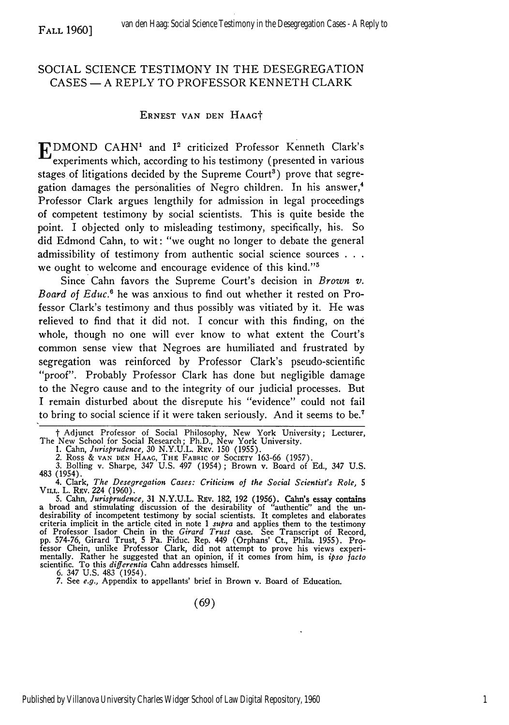# SOCIAL SCIENCE TESTIMONY IN THE DESEGREGATION CASES - A REPLY TO PROFESSOR KENNETH CLARK

FALL 1960]

#### ERNEST VAN DEN HAAGt

**E** DMOND CAHN1 and 12 criticized Professor Kenneth Clark's experiments which, according to his testimony (presented in various stages of litigations decided by the Supreme Court<sup>3</sup>) prove that segregation damages the personalities of Negro children. In his answer,<sup>4</sup> Professor Clark argues lengthily for admission in legal proceedings of competent testimony by social scientists. This is quite beside the point. I objected only to misleading testimony, specifically, his. So did Edmond Cahn, to wit: *"we* ought no longer to debate the general admissibility of testimony from authentic social science sources **. . .** we ought to welcome and encourage evidence of this kind."5

Since Cahn favors the Supreme Court's decision in *Brown v. Board of Educ.6* he was anxious to find out whether it rested on Professor Clark's testimony and thus possibly was vitiated by it. He was relieved to find that it did not. I concur with this finding, on the whole, though no one will ever know to what extent the Court's common sense view that Negroes are humiliated and frustrated by segregation was reinforced by Professor Clark's pseudo-scientific "proof". Probably Professor Clark has done but negligible damage to the Negro cause and to the integrity of our judicial processes. But I remain disturbed about the disrepute his "evidence" could not fail to bring to social science if it were taken seriously. And it seems to be.7

3. Bolling v. Sharpe, 347 U.S. 497 (1954); Brown v. Board of Ed., 347 U.S. 483 (1954).

4. Clark, *The Desegregation Cases: Criticism of the Social Scientist's Role, 5* **VILL.** L. REv. 224 (1960).

5. Cahn, Jurisprudence, 31 N.Y.U.L. REv. 182, 192 (1956). Cahn's essay contains<br>a broad and stimulating discussion of the desirability of "authentic" and the un-<br>desirability of incompetent testimony by social scientists. pp. 574-76, Girard Trust, 5 Pa. Fiduc. Rep. 449 (Orphans' Ct., Phila. 1955). Professor Chein, unlike Professor Clark, did not attempt to prove his views experi- mentally. Rather he suggested that an opinion, if it comes from him, is *ipso facto* scientific. To this *differentia* Cahn addresses himself.

6. 347 U.S. 483 (1954). 7. See *e.g.,* Appendix to appellants' brief in Brown v. Board of Education.

t Adjunct Professor of Social Philosophy, New York University; Lecturer, The New School for Social Research; Ph.D., New York University.<br>1. Cahn, Jurisprudence, 30 N.Y.U.L. Rev. 150 (1955).

<sup>1.</sup> Cahn, *Jurisprudence,* **30** N.Y.U.L. REv. 150 (1955). 2. Ross & **VAN DEN HAAG,** THE FABRIC **OF** SOcIETY 163-66 (1957).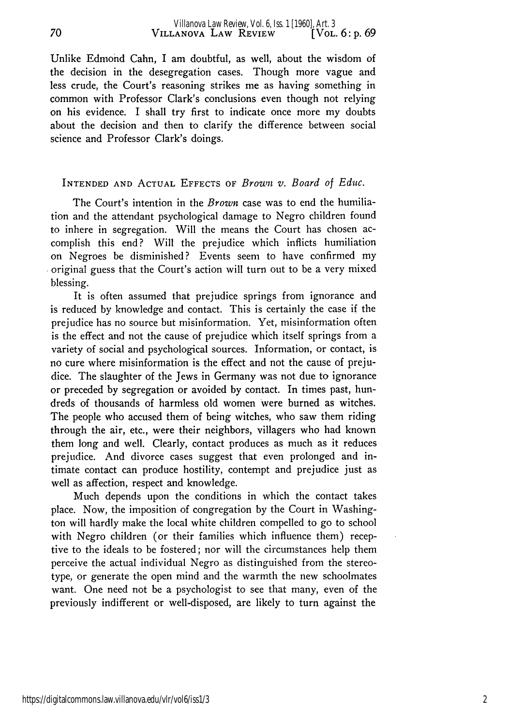Unlike Edmond Cahn, I am doubtful, as well, about the wisdom of the decision in the desegregation cases. Though more vague and less crude, the Court's reasoning strikes me as having something in common with Professor Clark's conclusions even though not relying on his evidence. I shall try first to indicate once more my doubts about the decision and then to clarify the difference between social science and Professor Clark's doings.

70

#### INTENDED AND ACTUAL EFFECTS OF *Brown v. Board of Educ.*

The Court's intention in the *Brown* case was to end the humiliation and the attendant psychological damage to Negro children found to inhere in segregation. Will the means the Court has chosen accomplish this end? Will the prejudice which inflicts humiliation on Negroes be disminished? Events seem to have confirmed my original guess that the Court's action will turn out to be a very mixed blessing.

It is often assumed that prejudice springs from ignorance and is reduced by knowledge and contact. This is certainly the case if the prejudice has no source but misinformation. Yet, misinformation often is the effect and not the cause of prejudice which itself springs from a variety of social and psychological sources. Information, or contact, is no cure where misinformation is the effect and not the cause of prejudice. The slaughter of the Jews in Germany was not due to ignorance or preceded by segregation or avoided by contact. In times past, hundreds of thousands of harmless old women were burned as witches. The people who accused them of being witches, who saw them riding through the air, etc., were their neighbors, villagers who had known them long and well. Clearly, contact produces as much as it reduces prejudice. And divorce cases suggest that even prolonged and intimate contact can produce hostility, contempt and prejudice just as well as affection, respect and knowledge.

Much depends upon the conditions in which the contact takes place. Now, the imposition of congregation by the Court in Washington will hardly make the local white children compelled to go to school with Negro children (or their families which influence them) receptive to the ideals to be fostered; nor will the circumstances help them perceive the actual individual Negro as distinguished from the stereotype, or generate the open mind and the warmth the new schoolmates want. One need not be a psychologist to see that many, even of the previously indifferent or well-disposed, are likely to turn against the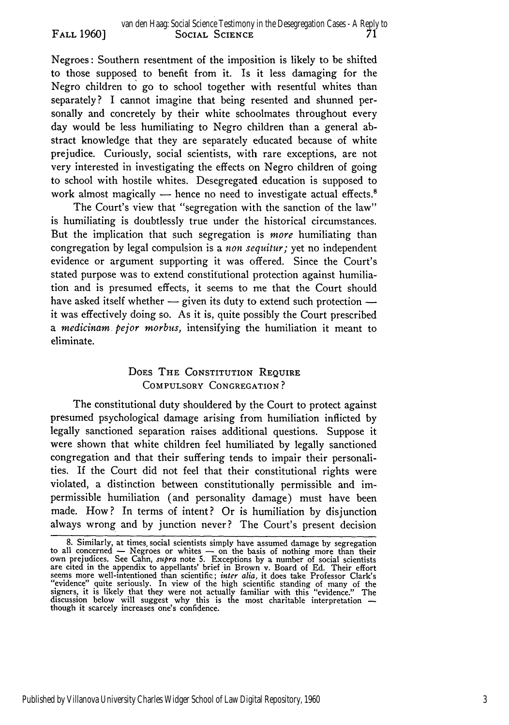Negroes: Southern resentment of the imposition is likely to be shifted to those supposed to benefit from it. Is it less damaging for the Negro children to go to school together with resentful whites than separately? I cannot imagine that being resented and shunned personally and concretely by their white schoolmates throughout every day would be less humiliating to Negro children than a general abstract knowledge that they are separately educated because of white prejudice. Curiously, social scientists, with rare exceptions, are not very interested in investigating the effects on Negro children of going to school with hostile whites. Desegregated education is supposed to work almost magically  $-$  hence no need to investigate actual effects.<sup>8</sup>

FALL **1960]**

The Court's view that "segregation with the sanction of the law" is humiliating is doubtlessly true under the historical circumstances. But the implication that such segregation is *more* humiliating than congregation by legal compulsion is a *non sequitur;* yet no independent evidence or argument supporting it was offered. Since the Court's stated purpose was to extend constitutional protection against humiliation and is presumed effects, it seems to me that the Court should have asked itself whether  $-$  given its duty to extend such protection  $$ it was effectively doing so. As it is, quite possibly the Court prescribed a *medicinam pejor morbus,* intensifying the humiliation it meant to eliminate.

# **DOES THE CONSTITUTION REQUIRE** COMPULSORY CONGREGATION?

The constitutional duty shouldered by the Court to protect against presumed psychological damage arising from humiliation inflicted by legally sanctioned separation raises additional questions. Suppose it were shown that white children feel humiliated by legally sanctioned congregation and that their suffering tends to impair their personalities. If the Court did not feel that their constitutional rights were violated, a distinction between constitutionally permissible and impermissible humiliation (and personality damage) must have been made. How? In terms of intent? Or is humiliation by disjunction always wrong and by junction never? The Court's present decision

<sup>8.</sup> Similarly, at times, social scientists simply have assumed damage by segregation<br>to all concerned — Negroes or whites — on the basis of nothing more than their<br>own prejudices. See Cahn, *supra* note 5. Exceptions by a signers, it is likely that they were not actually familiar with this "evidence." The discussion below will suggest why this is the most charitable interpretation **-** though it scarcely increases one's confidence.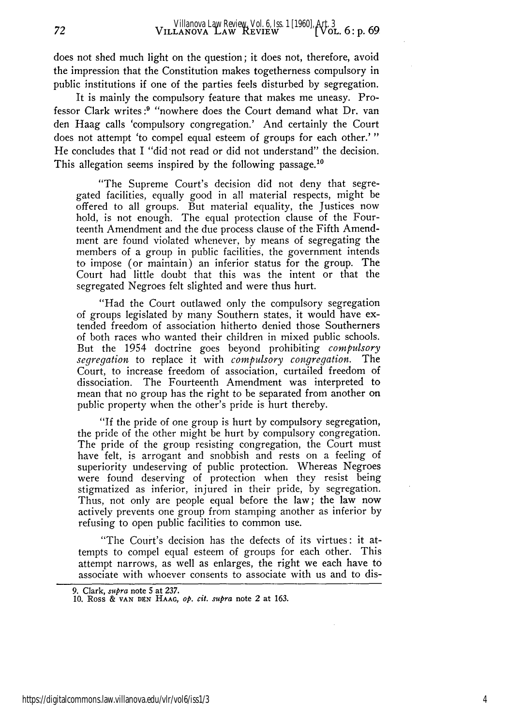does not shed much light on the question; it does not, therefore, avoid the impression that the Constitution makes togetherness compulsory in public institutions if one of the parties feels disturbed by segregation.

It is mainly the compulsory feature that makes me uneasy. Professor Clark writes:<sup>9</sup> "nowhere does the Court demand what Dr. van den Haag calls 'compulsory congregation.' And certainly the Court does not attempt 'to compel equal esteem of groups for each other.' **"** He concludes that I "did not read or did not understand" the decision. This allegation seems inspired by the following passage.<sup>1</sup>

"The Supreme Court's decision did not deny that segregated facilities, equally good in all material respects, might be offered to all groups. But material equality, the Justices now hold, is not enough. The equal protection clause of the Fourteenth Amendment and the due process clause of the Fifth Amendment are found violated whenever, **by** means of segregating the members of a group in public facilities, the government intends to impose (or maintain) an inferior status for the group. The Court had little doubt that this was the intent or that the segregated Negroes felt slighted and were thus hurt.

"Had the Court outlawed only the compulsory segregation of groups legislated **by** many Southern states, it would have extended freedom of association hitherto denied those Southerners of both races who wanted their children in mixed public schools. But the 1954 doctrine goes beyond prohibiting *compulsory segregation* to replace it with *compulsory congregation.* The Court, to increase freedom of association, curtailed freedom of dissociation. The Fourteenth Amendment was interpreted to mean that no group has the right to be separated from another on public property when the other's pride is hurt thereby.

"If the pride of one group is hurt **by** compulsory segregation, the pride of the other might be hurt **by** compulsory congregation. The pride of the group resisting congregation, the Court must have felt, is arrogant and snobbish and rests on a feeling of superiority undeserving of public protection. Whereas Negroes were found deserving of protection when they resist being stigmatized as inferior, injured in their pride, **by** segregation. Thus, not only are people equal before the law; the law now actively prevents one group from stamping another as inferior **by** refusing to open public facilities to common use.

"The Court's decision has the defects of its virtues: it attempts to compel equal esteem of groups for each other. This attempt narrows, as well as enlarges, the right we each have to associate with whoever consents to associate with us and to dis-

72

**<sup>9.</sup>** Clark, *supra* note **5 at 237. 10.** Ross **& VAN DS" HAAG,** *op. cit. supra* note 2 at **163.**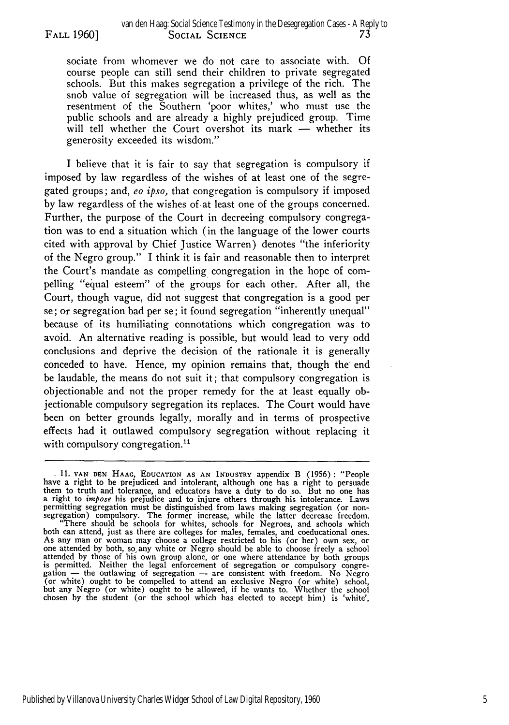sociate from whomever we do not care to associate with. Of course people can still send their children to private segregated schools. But this makes segregation a privilege of the rich. The snob value of segregation will be increased thus, as well as the resentment of the Southern 'poor whites,' who must use the public schools and are already a highly prejudiced group. Time will tell whether the Court overshot its mark - whether its generosity exceeded its wisdom."

I believe that it is fair to say that segregation is compulsory if imposed by law regardless of the wishes of at least one of the segregated groups; and, eo *ipso,* that congregation is compulsory if imposed by law regardless of the wishes of at least one of the groups concerned. Further, the purpose of the Court in decreeing compulsory congregation was to end a situation which (in the language of the lower courts cited with approval by Chief Justice Warren) denotes "the inferiority of the Negro group." I think it is fair and reasonable then to interpret the Court's mandate as compelling congregation in the hope of compelling "equal esteem" of the groups for each other. After all, the Court, though vague, did not suggest that congregation is a good per se; or segregation bad per se; it found segregation "inherently unequal" because of its humiliating connotations which congregation was to avoid. An alternative reading is possible, but would lead to very odd conclusions and deprive the decision of the rationale it is generally conceded to have. Hence, my opinion remains that, though the end be laudable, the means do not suit it; that compulsory congregation is objectionable and not the proper remedy for the at least equally objectionable compulsory segregation its replaces. The Court would have been on better grounds legally, morally and in terms of prospective effects had it outlawed compulsory segregation without replacing it with compulsory congregation.<sup>11</sup>

**<sup>.</sup> 11. VAN DEN** HAAG, EDUCATION **AS AN** INDUSTRY appendix B (1956): "People have a right to be prejudiced and intolerant, although one has a right to persuade them to truth and tolerance, and educators have a duty to do so. But no one has a right to *impose* his prejudice and to injure others through his intolerance. Laws permitting segregation must be distinguished from laws making segregation (or nonsegregation) compulsory. The former increase, while the latter decrease freedom. "There should be schools for whites, schools for Negroes, and schools which both can attend, just as there are colleges for males, females, and coeducational ones.<br>As any man or woman may choose a college restricted to his (or her) own sex, or one attended by both, so, any white or Negro should be able to choose freely a school attended by those of his own group alone, or one where attendance by both groups is permitted. Neither the legal enforcement of segregation or compulsory congre-<br>gation — the outlawing of segregation — are consistent with freedom. No Negro (or white) ought to be compelled to attend an exclusive Negro (or white) school, but any Negro (or white) ought to be allowed, if he wants to. Whether the school chosen by the student (or the school which has elected to accept him) is 'white',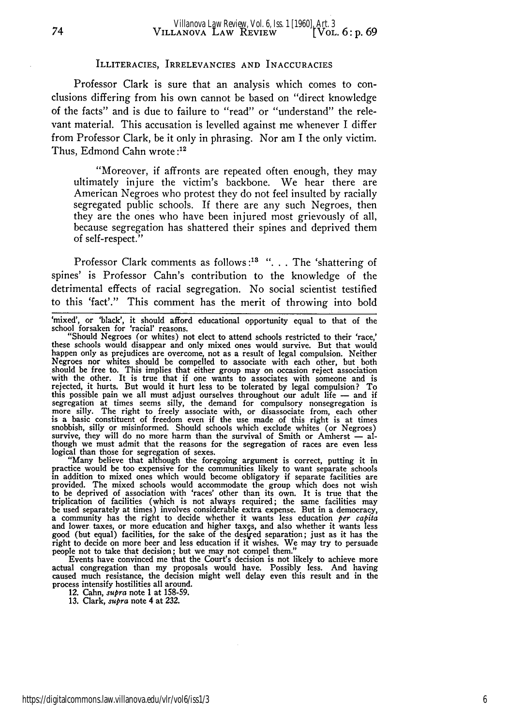#### ILLITERACIES, IRRELEVANCIES AND INACCURACIES

Professor Clark is sure that an analysis which comes to conclusions differing from his own cannot be based on "direct knowledge of the facts" and is due to failure to "read" or "understand" the relevant material. This accusation is levelled against me whenever I differ from Professor Clark, be it only in phrasing. Nor am I the only victim. Thus, Edmond Cahn wrote **:12**

"Moreover, if affronts are repeated often enough, they may ultimately injure the victim's backbone. We hear there are American Negroes who protest they do not feel insulted by racially segregated public schools. If there are any such Negroes, then they are the ones who have been injured most grievously of all, because segregation has shattered their spines and deprived them of self-respect."

Professor Clark comments as follows :<sup>13</sup> ". . . The 'shattering of spines' is Professor Cahn's contribution to the knowledge of the detrimental effects of racial segregation. No social scientist testified to this 'fact'." This comment has the merit of throwing into bold

logical than those for segregation of sexes. "Many believe that although the foregoing argument is correct, putting it in practice would be too expensive for the communities likely to want separate schools in addition to mixed ones which would become obligatory if separate facilities are provided. The mixed schools would accommodate the group which does not wish to be deprived of association with 'races' other than its own. It is true that the triplication of facilities (which is not always required; the same facilities may<br>be used separately at times) involves considerable extra expense. But in a democracy,<br>a community has the right to decide whether it wants l good (but equal) facilities, for the sake of the desired separation; just as it has the right to decide on more beer and less education if it wishes. We may try to persuade

people not to take that decision; but we may not compel them."<br>Events have convinced me that the Court's decision is not likely to achieve more<br>actual congregation than my proposals would have. Possibly less. And having<br>ca process intensify hostilities all around. 12. Cahn, *supra* note **1** at **158-59.**

**13.** Clark, *supra* note 4 at **232.**

<sup>&#</sup>x27;mixed', or 'black', it should afford educational opportunity equal to that of the

school forsaken for 'racial' reasons.<br>"Should Negroes (or whites) not elect to attend schools restricted to their 'race,'<br>these schools would disappear and only mixed ones would survive. But that would happen only as prejudices are overcome, not as a result of legal compulsion. Neither Negroes nor whites should be compelled to associate with each other, but both should be free to. This implies that either group may on occasion reject association with the other. It is true that if one wants to associates with someone and is rejected, it hurts. But would it hurt less to be tolerated by legal compulsion? To this possible pain we all must adjust ourselves throughout our adult life - and if segregation at times seems silly, the demand for compulsory nonsegregation is more silly. The right to freely associate with, or disassociate from, each other is a basic constituent of freedom even if the use made of this right is at times snobbish, silly or misinformed. Should schools which exclude whites (or Negroes) survive, they will do no more harm than the survival of Smith or Amherst - although we must admit that the reasons for the segregation of races are even less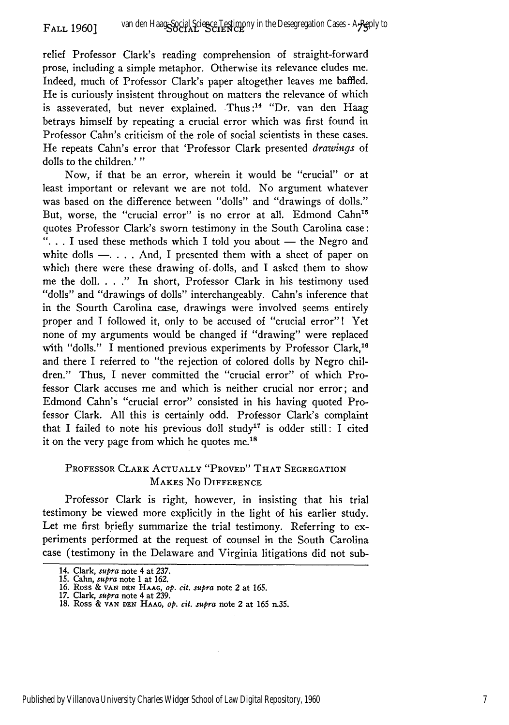relief Professor Clark's reading comprehension of straight-forward prose, including a simple metaphor. Otherwise its relevance eludes me. Indeed, much of Professor Clark's paper altogether leaves me baffled. He is curiously insistent throughout on matters the relevance of which is asseverated, but never explained. Thus:<sup>14</sup> "Dr. van den Haag betrays himself by repeating a crucial error which was first found in Professor Cahn's criticism of the role of social scientists in these cases. He repeats Cahn's error that 'Professor Clark presented *drawings* of dolls to the children.' **"**

Now, if that be an error, wherein it would be "crucial" or at least important or relevant we are not told. No argument whatever was based on the difference between "dolls" and "drawings of dolls." But, worse, the "crucial error" is no error at all. Edmond Cahn<sup>15</sup> quotes Professor Clark's sworn testimony in the South Carolina case: ". . . I used these methods which I told you about - the Negro and white dolls  $-$ .... And, I presented them with a sheet of paper on which there were these drawing *of,* dolls, and I asked them to show me the doll. . . **."** In short, Professor Clark in his testimony used "dolls" and "drawings of dolls" interchangeably. Cahn's inference that in the Sourth Carolina case, drawings were involved seems entirely proper and I followed it, only to be accused of "crucial error"! Yet none of my arguments would be changed if "drawing" were replaced with "dolls." I mentioned previous experiments by Professor Clark,<sup>16</sup> and there I referred to "the rejection of colored dolls by Negro children." Thus, I never committed the "crucial error" of which Professor Clark accuses me and which is neither crucial nor error; and Edmond Cahn's "crucial error" consisted in his having quoted Professor Clark. **All** this is certainly odd. Professor Clark's complaint that I failed to note his previous doll study<sup>17</sup> is odder still: I cited it on the very page from which he quotes me.<sup>18</sup>

# PROFESSOR CLARK **ACTUALLY** "PROVED" THAT SEGREGATION **MAKES** No **DIFFERENCE**

Professor Clark is right, however, in insisting that his trial testimony be viewed more explicitly in the light of his earlier study. Let me first briefly summarize the trial testimony. Referring to experiments performed at the request of counsel in the South Carolina case (testimony in the Delaware and Virginia litigations did not sub-

<sup>14.</sup> Clark, *supra* note 4 at 237.

<sup>15.</sup> Cahn, *supra* note 1 at 162.

**<sup>16.</sup>** Ross **& VAN DZN HAAG,** *op. cit. supra* note 2 at 165.

**<sup>17.</sup>** Clark, *supra* note 4 at 239.

**<sup>18.</sup>** Ross **& VAN DEN HAAG,** *op. cit. supra* note 2 at 165 n.35.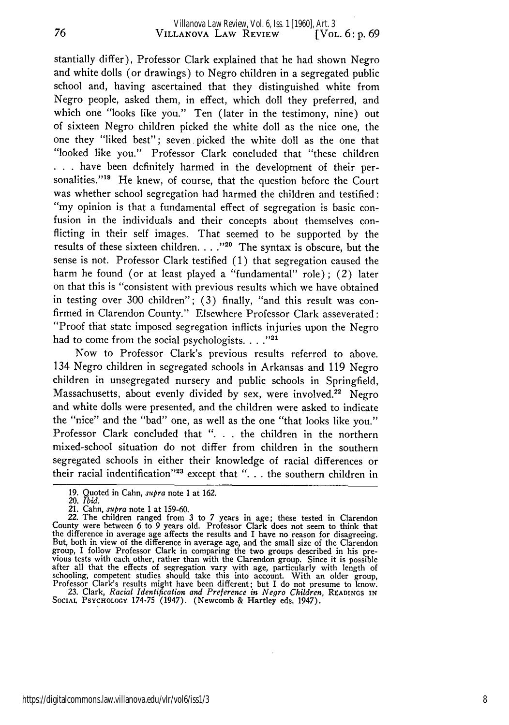stantially differ), Professor Clark explained that he had shown Negro and white dolls (or drawings) to Negro children in a segregated public school and, having ascertained that they distinguished white from Negro people, asked them, in effect, which doll they preferred, and which one "looks like you." Ten (later in the testimony, nine) out of sixteen Negro children picked the white doll as the nice one, the one they "liked best"; seven picked the white doll as the one that "looked like you." Professor Clark concluded that "these children **. . .**have been definitely harmed in the development of their personalities."19 He knew, of course, that the question before the Court was whether school segregation had harmed the children and testified: "my opinion is that a fundamental effect of segregation is basic confusion in the individuals and their concepts about themselves conflicting in their self images. That seemed to be supported by the results of these sixteen children **.. "20** The syntax is obscure, but the sense is not. Professor Clark testified (1) that segregation caused the harm he found (or at least played a "fundamental" role) **;** (2) later on that this is "consistent with previous results which we have obtained in testing over 300 children"; (3) finally, "and this result was confirmed in Clarendon County." Elsewhere Professor Clark asseverated: "Proof that state imposed segregation inflicts injuries upon the Negro had to come from the social psychologists. . . . "<sup>21</sup>

Now to Professor Clark's previous results referred to above. 134 Negro children in segregated schools in Arkansas and 119 Negro children in unsegregated nursery and public schools in Springfield, Massachusetts, about evenly divided by sex, were involved.<sup>22</sup> Negro and white dolls were presented, and the children were asked to indicate the "nice" and the "bad" one, as well as the one "that looks like you." Professor Clark concluded that ". **.** . the children in the northern mixed-school situation do not differ from children in the southern segregated schools in either their knowledge of racial differences or their racial indentification"<sup>23</sup> except that "... the southern children in

23. Clark, *Racial Identification and Preference in Negro Children,* READINGS **IN** Social Psycholocy 174-75 (1947). (Newcomb & Hartley eds. 1947)

<sup>19.</sup> Quoted in Cahn, *supra* note 1 at 162.

*<sup>20.</sup> Ibid.*

<sup>21.</sup> Cahn, *supra* note 1 at 159-60. 22. The children ranged from 3 to 7 years in age; these tested in Clarendon County were between 6 to 9 years old. Professor Clark does not seem to think that the difference in average age affects the results and I have no reason for disagreeing. But, both in view of the difference in average age, and the small size of the Clarendon  $\frac{1}{2}$  and  $\frac{1}{2}$  follow Professor Clark in comparing the two groups described in his pre-<br>group, I follow Professor Clark in comparing the two groups described in his pre-<br>vious tests with each other, rather than w schooling, competent studies should take this into account. With an older group, Professor Clark's results might have been different; but I do not presume to know.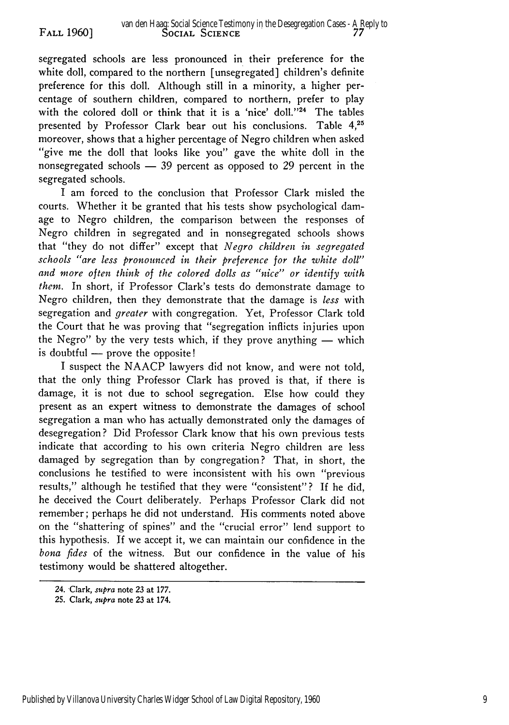segregated schools are less pronounced in their preference for the white doll, compared to the northern [unsegregated] children's definite preference for this doll. Although still in a minority, a higher percentage of southern children, compared to northern, prefer to play with the colored doll or think that it is a 'nice' doll."<sup>24</sup> The tables presented by Professor Clark bear out his conclusions. Table **4,25** moreover, shows that a higher percentage of Negro children when asked ''give me the doll that looks like you" gave the white doll in the nonsegregated schools  $-$  39 percent as opposed to 29 percent in the segregated schools.

I am forced to the conclusion that Professor Clark misled the courts. Whether it be granted that his tests show psychological damage to Negro children, the comparison between the responses of Negro children in segregated and in nonsegregated schools shows that "they do not differ" except that *Negro children in segregated schools "are less pronounced in their preference for the white doll" and more often think of the colored dolls as "nice" or identify with them.* In short, if Professor Clark's tests do demonstrate damage to Negro children, then they demonstrate that the damage is *less* with segregation and *greater* with congregation. Yet, Professor Clark told the Court that he was proving that "segregation inflicts injuries upon the Negro" by the very tests which, if they prove anything  $-$  which is doubtful  $-$  prove the opposite!

I suspect the NAACP lawyers did not know, and were not told, that the only thing Professor Clark has proved is that, if there is damage, it is not due to school segregation. Else how could they present as an expert witness to demonstrate the damages of school segregation a man who has actually demonstrated only the damages of desegregation? Did Professor Clark know that his own previous tests indicate that according to his own criteria Negro children are less damaged by segregation than by congregation? That, in short, the conclusions he testified to were inconsistent with his own "previous results," although he testified that they were "consistent"? If he did, he deceived the Court deliberately. Perhaps Professor Clark did not remember; perhaps he did not understand. His comments noted above on the "shattering of spines" and the "crucial error" lend support to this hypothesis. **If** we accept it, we can maintain our confidence in the *bona fides* of the witness. But our confidence in the value of his testimony would be shattered altogether.

<sup>24.</sup> Clark, *supra* note **23** at **177.**

**<sup>25.</sup>** Clark, *supra* note **23** at 174.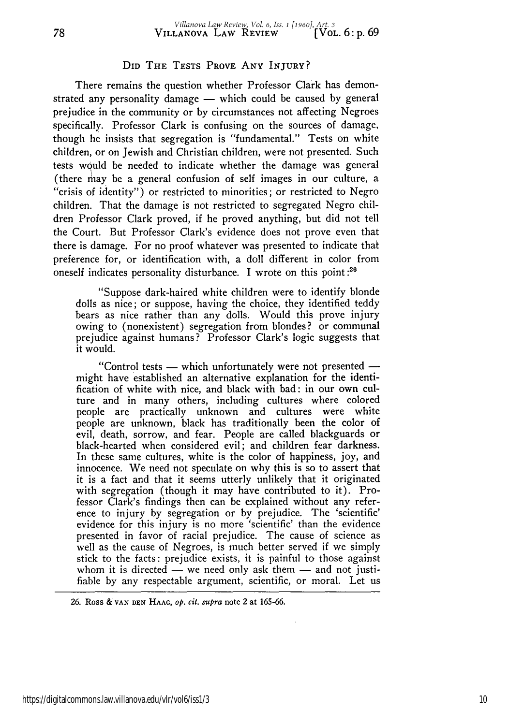### **DID THE TESTS PROVE ANY** INJURY?

There remains the question whether Professor Clark has demonstrated any personality damage  $-$  which could be caused by general prejudice in the community or by circumstances not affecting Negroes specifically. Professor Clark is confusing on the sources of damage, though he insists that segregation is "fundamental." Tests on white children, or on Jewish and Christian children, were not presented. Such tests would be needed to indicate whether the damage was general (there may be a general confusion of self images in our culture, a "crisis of identity") or restricted to minorities; or restricted to Negro children. That the damage is not restricted to segregated Negro children Professor Clark proved, if he proved anything, but did not tell the Court. But Professor Clark's evidence does not prove even that there is damage. For no proof whatever was presented to indicate that preference for, or identification with, a doll different in color from oneself indicates personality disturbance. I wrote on this point **:26**

"Suppose dark-haired white children were to identify blonde dolls as nice; or suppose, having the choice, they identified teddy bears as nice rather than any dolls. Would this prove injury owing to (nonexistent) segregation from blondes? or communal prejudice against humans? Professor Clark's logic suggests that it would.

"Control tests  $-$  which unfortunately were not presented  $$ might have established an alternative explanation for the identification of white with nice, and black with bad: in our own culture and in many others, including cultures where colored people are practically unknown and cultures were white people are unknown, black has traditionally been the color of evil, death, sorrow, and fear. People are called blackguards or black-hearted when considered evil; and children fear darkness. In these same cultures, white is the color of happiness, joy, and innocence. We need not speculate on why this is so to assert that it is a fact and that it seems utterly unlikely that it originated with segregation (though it may have contributed to it). Professor Clark's findings then can be explained without any reference to injury by segregation or by prejudice. The 'scientific' evidence for this injury is no more 'scientific' than the evidence presented in favor of racial prejudice. The cause of science as well as the cause of Negroes, is much better served if we simply stick to the facts: prejudice exists, it is painful to those against whom it is directed  $\ddot{\hspace{1cm}}$  we need only ask them  $\sim$  and not justifiable by any respectable argument, scientific, or moral. Let us

**<sup>26.</sup>** Ross **&'VAN DEN HAAG,** *op. cit. supra* note 2 at **165-66.**